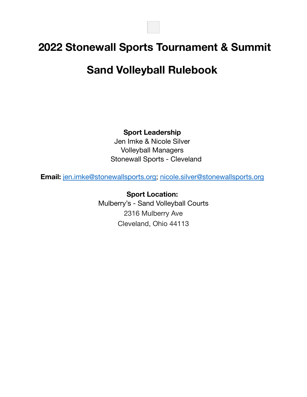# **2022 Stonewall Sports Tournament & Summit**

# **Sand Volleyball Rulebook**

**Sport Leadership**

Jen Imke & Nicole Silver Volleyball Managers Stonewall Sports - Cleveland

**Email:** [jen.imke@stonewallsports.org;](mailto:jen.imke@stonewallsports.org) [nicole.silver@stonewallsports.org](mailto:nicole.silver@stonewallsports.org)

**Sport Location:** Mulberry's - Sand Volleyball Courts 2316 Mulberry Ave Cleveland, Ohio 44113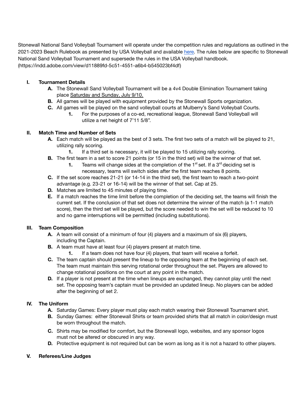Stonewall National Sand Volleyball Tournament will operate under the competition rules and regulations as outlined in the 2021-2023 Beach Rulebook as presented by USA Volleyball and available here. The rules below are specific to Stonewall National Sand Volleyball Tournament and supersede the rules in the USA Volleyball handbook. (https://indd.adobe.com/view/d11889fd-5c51-4551-a6b4-b545023bf4df)

### **I. Tournament Details**

- **A.** The Stonewall Sand Volleyball Tournament will be a 4v4 Double Elimination Tournament taking place Saturday and Sunday, July 9/10.
- **B.** All games will be played with equipment provided by the Stonewall Sports organization.
- **C.** All games will be played on the sand volleyball courts at Mulberry's Sand Volleyball Courts.
	- **1.** For the purposes of a co-ed, recreational league, Stonewall Sand Volleyball will utilize a net height of 7'11 5/8".

#### **II. Match Time and Number of Sets**

- **A.** Each match will be played as the best of 3 sets. The first two sets of a match will be played to 21, utilizing rally scoring.
	- **1.** If a third set is necessary, it will be played to 15 utilizing rally scoring.
- **B.** The first team in a set to score 21 points (or 15 in the third set) will be the winner of that set.
	- **1.** Teams will change sides at the completion of the  $1<sup>st</sup>$  set. If a  $3<sup>rd</sup>$  deciding set is necessary, teams will switch sides after the first team reaches 8 points.
- **C.** If the set score reaches 21-21 (or 14-14 in the third set), the first team to reach a two-point advantage (e.g. 23-21 or 16-14) will be the winner of that set. Cap at 25.
- **D.** Matches are limited to 45 minutes of playing time.
- **E.** If a match reaches the time limit before the completion of the deciding set, the teams will finish the current set. If the conclusion of that set does not determine the winner of the match (a 1-1 match score), then the third set will be played, but the score needed to win the set will be reduced to 10 and no game interruptions will be permitted (including substitutions).

#### **III. Team Composition**

- **A.** A team will consist of a minimum of four (4) players and a maximum of six (6) players, including the Captain.
- **B.** A team must have at least four (4) players present at match time.
	- **1.** If a team does not have four (4) players, that team will receive a forfeit.
- **C.** The team captain should present the lineup to the opposing team at the beginning of each set. The team must maintain this serving rotational order throughout the set. Players are allowed to change rotational positions on the court at any point in the match.
- **D.** If a player is not present at the time when lineups are exchanged, they cannot play until the next set. The opposing team's captain must be provided an updated lineup. No players can be added after the beginning of set 2.

## **IV. The Uniform**

- **A.** Saturday Games: Every player must play each match wearing their Stonewall Tournament shirt.
- **B.** Sunday Games: either Stonewall Shirts or team provided shirts that all match in color/design must be worn throughout the match.
- **C.** Shirts may be modified for comfort, but the Stonewall logo, websites, and any sponsor logos must not be altered or obscured in any way.
- **D.** Protective equipment is not required but can be worn as long as it is not a hazard to other players.

#### **V. Referees/Line Judges**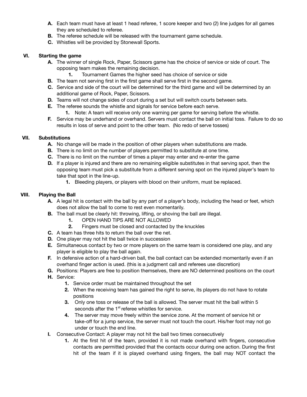- **A.** Each team must have at least 1 head referee, 1 score keeper and two (2) line judges for all games they are scheduled to referee.
- **B.** The referee schedule will be released with the tournament game schedule.
- **C.** Whistles will be provided by Stonewall Sports.

#### **VI. Starting the game**

- **A.** The winner of single Rock, Paper, Scissors game has the choice of service or side of court. The opposing team makes the remaining decision.
	- **1.** Tournament Games the higher seed has choice of service or side
- **B.** The team not serving first in the first game shall serve first in the second game.
- **C.** Service and side of the court will be determined for the third game and will be determined by an additional game of Rock, Paper, Scissors.
- **D.** Teams will not change sides of court during a set but will switch courts between sets.
- **E.** The referee sounds the whistle and signals for service before each serve.
	- **1.** Note: A team will receive only one warning per game for serving before the whistle.
- **F.** Service may be underhand or overhand. Servers must contact the ball on initial toss. Failure to do so results in loss of serve and point to the other team. (No redo of serve tosses)

#### **VII. Substitutions**

- **A.** No change will be made in the position of other players when substitutions are made.
- **B.** There is no limit on the number of players permitted to substitute at one time.
- **C.** There is no limit on the number of times a player may enter and re-enter the game
- **D.** If a player is injured and there are no remaining eligible substitutes in that serving spot, then the opposing team must pick a substitute from a different serving spot on the injured player's team to take that spot in the line-up.
	- **1.** Bleeding players, or players with blood on their uniform, must be replaced.

#### **VIII. Playing the Ball**

- **A.** A legal hit is contact with the ball by any part of a player's body, including the head or feet, which does not allow the ball to come to rest even momentarily.
- **B.** The ball must be clearly hit: throwing, lifting, or shoving the ball are illegal.
	- **1.** OPEN HAND TIPS ARE NOT ALLOWED
	- **2.** Fingers must be closed and contacted by the knuckles
- **C.** A team has three hits to return the ball over the net.
- **D.** One player may not hit the ball twice in succession
- **E.** Simultaneous contact by two or more players on the same team is considered one play, and any player is eligible to play the ball again.
- **F.** In defensive action of a hard-driven ball, the ball contact can be extended momentarily even if an overhand finger action is used. (this is a judgment call and referees use discretion)
- **G.** Positions: Players are free to position themselves, there are NO determined positions on the court
- **H.** Service:
	- **1.** Service order must be maintained throughout the set
	- **2.** When the receiving team has gained the right to serve, its players do not have to rotate positions
	- **3.** Only one toss or release of the ball is allowed. The server must hit the ball within 5 seconds after the 1<sup>st</sup> referee whistles for service.
	- **4.** The server may move freely within the service zone. At the moment of service hit or take-off for a jump service, the server must not touch the court. His/her foot may not go under or touch the end line.
- **I.** Consecutive Contact: A player may not hit the ball two times consecutively
	- **1.** At the first hit of the team, provided it is not made overhand with fingers, consecutive contacts are permitted provided that the contacts occur during one action. During the first hit of the team if it is played overhand using fingers, the ball may NOT contact the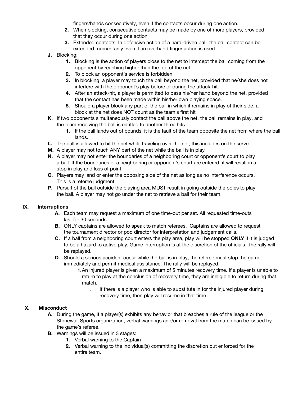fingers/hands consecutively, even if the contacts occur during one action.

- **2.** When blocking, consecutive contacts may be made by one of more players, provided that they occur during one action
- **3.** Extended contacts: In defensive action of a hard-driven ball, the ball contact can be extended momentarily even if an overhand finger action is used.
- **J.** Blocking:
	- **1.** Blocking is the action of players close to the net to intercept the ball coming from the opponent by reaching higher than the top of the net.
	- **2.** To block an opponent's service is forbidden.
	- **3.** In blocking, a player may touch the ball beyond the net, provided that he/she does not interfere with the opponent's play before or during the attack-hit.
	- **4.** After an attack-hit, a player is permitted to pass his/her hand beyond the net, provided that the contact has been made within his/her own playing space.
	- **5.** Should a player block any part of the ball in which it remains in play of their side, a block at the net does NOT count as the team's first hit
- **K.** If two opponents simultaneously contact the ball above the net, the ball remains in play, and the team receiving the ball is entitled to another three hits.
	- **1.** If the ball lands out of bounds, it is the fault of the team opposite the net from where the ball lands.
- **L.** The ball is allowed to hit the net while traveling over the net, this includes on the serve.
- **M.** A player may not touch ANY part of the net while the ball is in play.
- **N.** A player may not enter the boundaries of a neighboring court or opponent's court to play a ball. If the boundaries of a neighboring or opponent's court are entered, it will result in a stop in play and loss of point.
- **O.** Players may land or enter the opposing side of the net as long as no interference occurs. This is a referee judgment.
- **P.** Pursuit of the ball outside the playing area MUST result in going outside the poles to play the ball. A player may not go under the net to retrieve a ball for their team.

## **IX. Interruptions**

- **A.** Each team may request a maximum of one time-out per set. All requested time-outs last for 30 seconds.
- **B.** ONLY captains are allowed to speak to match referees. Captains are allowed to request the tournament director or pod director for interpretation and judgement calls.
- **C.** If a ball from a neighboring court enters the play area, play will be stopped **ONLY** if it is judged to be a hazard to active play. Game interruption is at the discretion of the officials. The rally will be replayed.
- **D.** Should a serious accident occur while the ball is in play, the referee must stop the game immediately and permit medical assistance. The rally will be replayed.
	- **1.**An injured player is given a maximum of 5 minutes recovery time. If a player is unable to return to play at the conclusion of recovery time, they are ineligible to return during that match.
		- i. If there is a player who is able to substitute in for the injured player during recovery time, then play will resume in that time.

#### **X. Misconduct**

- **A.** During the game, if a player(s) exhibits any behavior that breaches a rule of the league or the Stonewall Sports organization, verbal warnings and/or removal from the match can be issued by the game's referee.
- **B.** Warnings will be issued in 3 stages:
	- **1.** Verbal warning to the Captain
	- **2.** Verbal warning to the individual(s) committing the discretion but enforced for the entire team.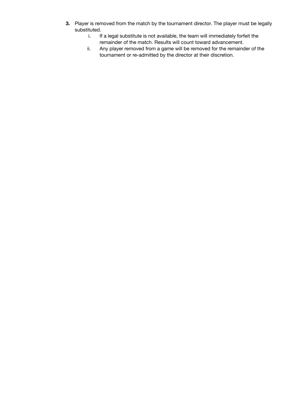- **3.** Player is removed from the match by the tournament director. The player must be legally substituted.
	- i. If a legal substitute is not available, the team will immediately forfeit the remainder of the match. Results will count toward advancement.
	- ii. Any player removed from a game will be removed for the remainder of the tournament or re-admitted by the director at their discretion.